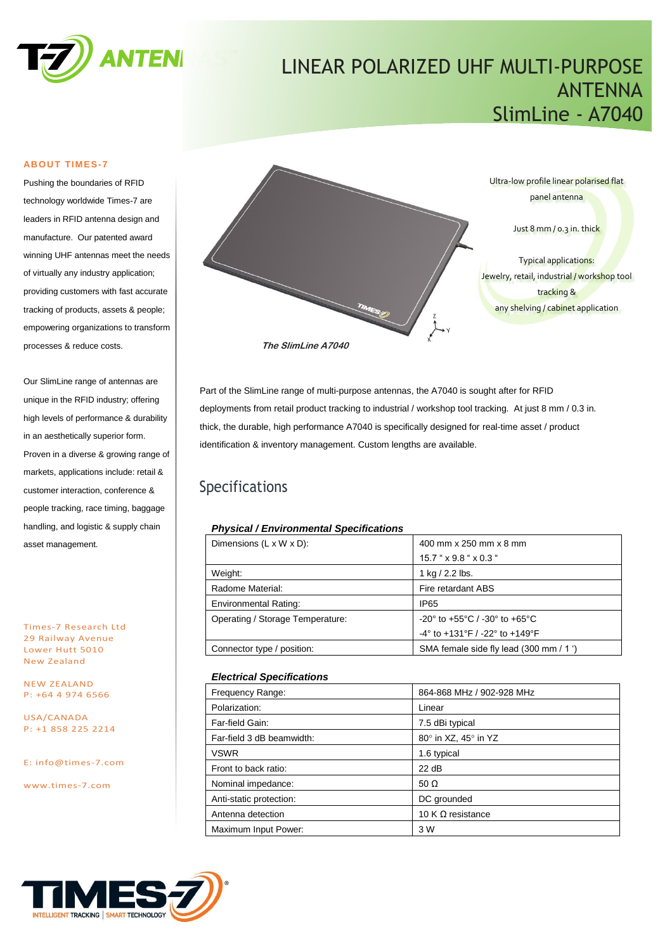

## LINEAR POLARIZED UHF MULTI-PURPOSE ANTENNA SlimLine - A7040

#### **ABOUT TIMES-7**

Pushing the boundaries of RFID technology worldwide Times-7 are leaders in RFID antenna design and manufacture. Our patented award winning UHF antennas meet the needs of virtually any industry application; providing customers with fast accurate tracking of products, assets & people; empowering organizations to transform processes & reduce costs.

Our SlimLine range of antennas are unique in the RFID industry; offering high levels of performance & durability in an aesthetically superior form. Proven in a diverse & growing range of markets, applications include: retail & customer interaction, conference & people tracking, race timing, baggage handling, and logistic & supply chain asset management.

Times-7 Research Ltd 29 Railway Avenue Lower Hutt 5010 New Zealand

NEW ZEALAND P: +64 4 974 6566

USA/CANADA P: +1 858 225 2214

E: [info@times-7.com](mailto:info@times-7.com)

www.times-7.com



Part of the SlimLine range of multi-purpose antennas, the A7040 is sought after for RFID deployments from retail product tracking to industrial / workshop tool tracking. At just 8 mm / 0.3 in. thick, the durable, high performance A7040 is specifically designed for real-time asset / product identification & inventory management. Custom lengths are available.

## Specifications

#### *Physical / Environmental Specifications*

|  | Dimensions $(L \times W \times D)$ : | 400 mm x 250 mm x 8 mm                                               |  |
|--|--------------------------------------|----------------------------------------------------------------------|--|
|  |                                      | $15.7$ " $\times$ 9.8 " $\times$ 0.3 "                               |  |
|  | Weight:                              | 1 kg $/$ 2.2 lbs.                                                    |  |
|  | Radome Material:                     | Fire retardant ABS                                                   |  |
|  | <b>Environmental Rating:</b>         | <b>IP65</b>                                                          |  |
|  | Operating / Storage Temperature:     | $-20^{\circ}$ to $+55^{\circ}$ C / $-30^{\circ}$ to $+65^{\circ}$ C  |  |
|  |                                      | $-4^{\circ}$ to $+131^{\circ}$ F / $-22^{\circ}$ to $+149^{\circ}$ F |  |
|  | Connector type / position:           | SMA female side fly lead (300 mm / 1 ')                              |  |

#### *Electrical Specifications*

| Frequency Range:          | 864-868 MHz / 902-928 MHz |
|---------------------------|---------------------------|
| Polarization:             | Linear                    |
| Far-field Gain:           | 7.5 dBi typical           |
| Far-field 3 dB beamwidth: | 80° in XZ, 45° in YZ      |
| <b>VSWR</b>               | 1.6 typical               |
| Front to back ratio:      | 22 dB                     |
| Nominal impedance:        | 50 $\Omega$               |
| Anti-static protection:   | DC grounded               |
| Antenna detection         | 10 K $\Omega$ resistance  |
| Maximum Input Power:      | 3 W                       |